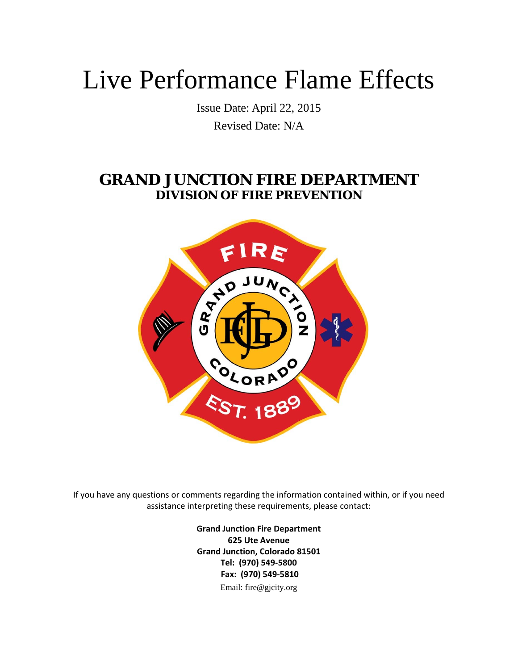# Live Performance Flame Effects

Issue Date: April 22, 2015 Revised Date: N/A

## **GRAND JUNCTION FIRE DEPARTMENT DIVISION OF FIRE PREVENTION**



If you have any questions or comments regarding the information contained within, or if you need assistance interpreting these requirements, please contact:

> **Grand Junction Fire Department 625 Ute Avenue Grand Junction, Colorado 81501 Tel: (970) 549‐5800 Fax: (970) 549‐5810** Email: fire@gjcity.org